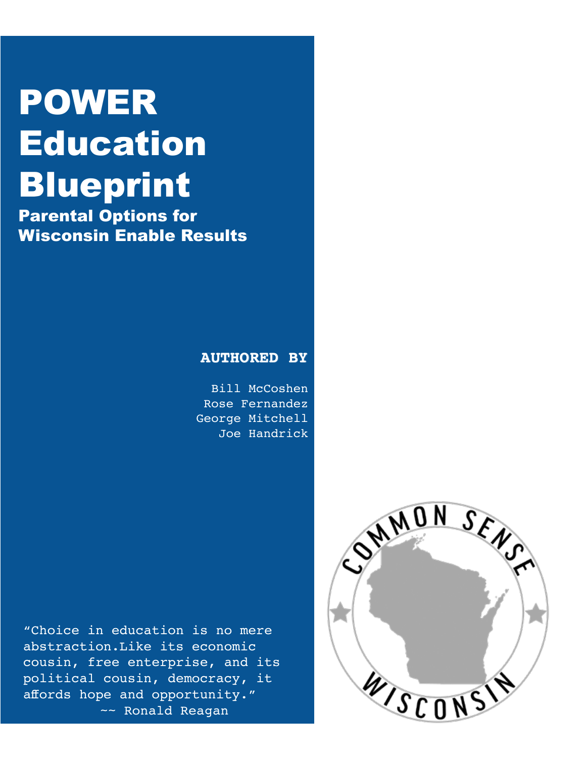# POWER Education Blueprint

Parental Options for Wisconsin Enable Results

#### **AUTHORED BY**

Bill McCoshen Rose Fernandez George Mitchell Joe Handrick

"Choice in education is no mere abstraction.Like its economic cousin, free enterprise, and its political cousin, democracy, it affords hope and opportunity." ~~ Ronald Reagan

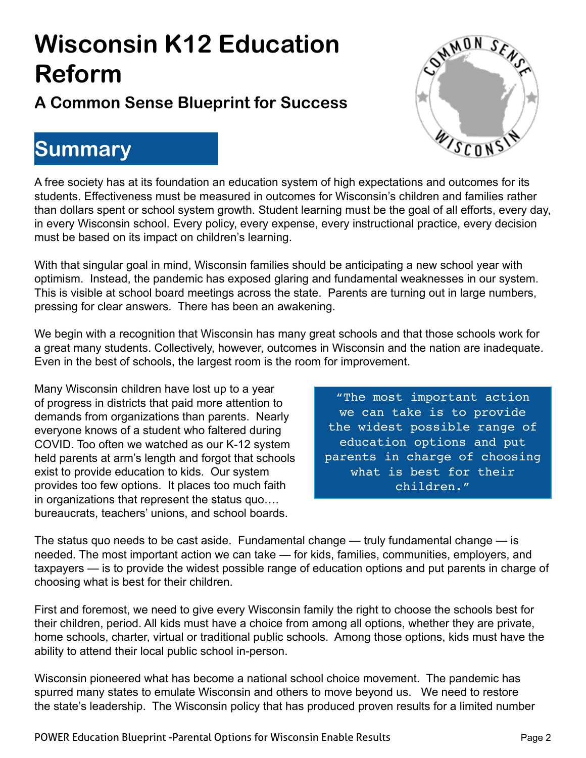## **Wisconsin K12 Education Reform**

### **A Common Sense Blueprint for Success**

### **Summary**



A free society has at its foundation an education system of high expectations and outcomes for its students. Effectiveness must be measured in outcomes for Wisconsin's children and families rather than dollars spent or school system growth. Student learning must be the goal of all efforts, every day, in every Wisconsin school. Every policy, every expense, every instructional practice, every decision must be based on its impact on children's learning.

With that singular goal in mind, Wisconsin families should be anticipating a new school year with optimism. Instead, the pandemic has exposed glaring and fundamental weaknesses in our system. This is visible at school board meetings across the state. Parents are turning out in large numbers, pressing for clear answers. There has been an awakening.

We begin with a recognition that Wisconsin has many great schools and that those schools work for a great many students. Collectively, however, outcomes in Wisconsin and the nation are inadequate. Even in the best of schools, the largest room is the room for improvement.

Many Wisconsin children have lost up to a year of progress in districts that paid more attention to demands from organizations than parents. Nearly everyone knows of a student who faltered during COVID. Too often we watched as our K-12 system held parents at arm's length and forgot that schools exist to provide education to kids. Our system provides too few options. It places too much faith in organizations that represent the status quo…. bureaucrats, teachers' unions, and school boards.

"The most important action we can take is to provide the widest possible range of education options and put parents in charge of choosing what is best for their children."

The status quo needs to be cast aside. Fundamental change — truly fundamental change — is needed. The most important action we can take — for kids, families, communities, employers, and taxpayers — is to provide the widest possible range of education options and put parents in charge of choosing what is best for their children.

First and foremost, we need to give every Wisconsin family the right to choose the schools best for their children, period. All kids must have a choice from among all options, whether they are private, home schools, charter, virtual or traditional public schools. Among those options, kids must have the ability to attend their local public school in-person.

Wisconsin pioneered what has become a national school choice movement. The pandemic has spurred many states to emulate Wisconsin and others to move beyond us. We need to restore the state's leadership. The Wisconsin policy that has produced proven results for a limited number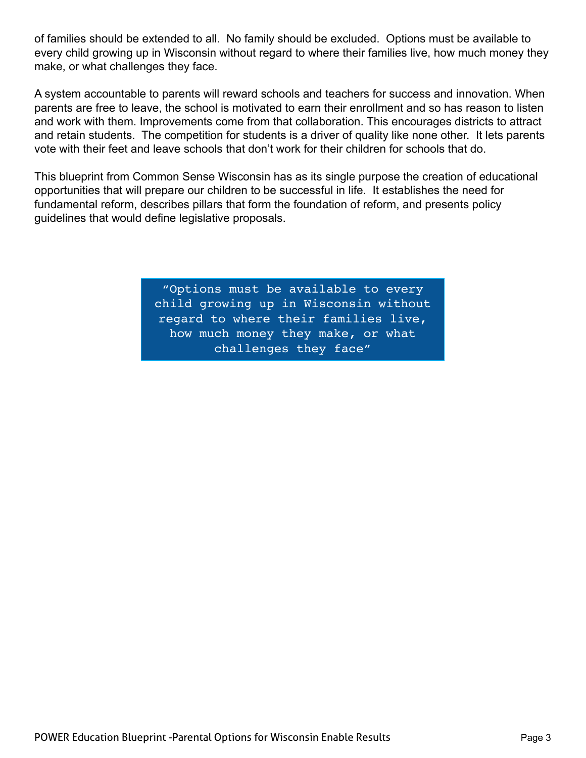of families should be extended to all. No family should be excluded. Options must be available to every child growing up in Wisconsin without regard to where their families live, how much money they make, or what challenges they face.

A system accountable to parents will reward schools and teachers for success and innovation. When parents are free to leave, the school is motivated to earn their enrollment and so has reason to listen and work with them. Improvements come from that collaboration. This encourages districts to attract and retain students. The competition for students is a driver of quality like none other. It lets parents vote with their feet and leave schools that don't work for their children for schools that do.

This blueprint from Common Sense Wisconsin has as its single purpose the creation of educational opportunities that will prepare our children to be successful in life. It establishes the need for fundamental reform, describes pillars that form the foundation of reform, and presents policy guidelines that would define legislative proposals.

> "Options must be available to every child growing up in Wisconsin without regard to where their families live, how much money they make, or what challenges they face"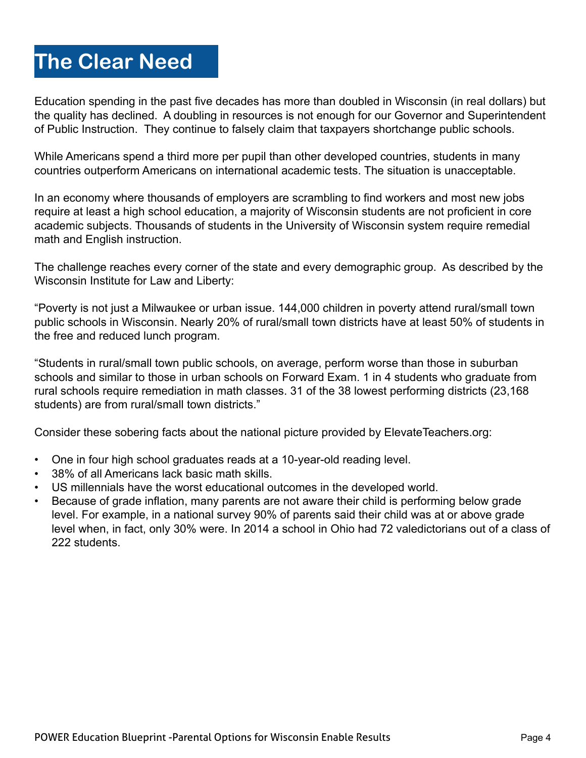### **The Clear Need**

Education spending in the past five decades has more than doubled in Wisconsin (in real dollars) but the quality has declined. A doubling in resources is not enough for our Governor and Superintendent of Public Instruction. They continue to falsely claim that taxpayers shortchange public schools.

While Americans spend a third more per pupil than other developed countries, students in many countries outperform Americans on international academic tests. The situation is unacceptable.

In an economy where thousands of employers are scrambling to find workers and most new jobs require at least a high school education, a majority of Wisconsin students are not proficient in core academic subjects. Thousands of students in the University of Wisconsin system require remedial math and English instruction.

The challenge reaches every corner of the state and every demographic group. As described by the Wisconsin Institute for Law and Liberty:

"Poverty is not just a Milwaukee or urban issue. 144,000 children in poverty attend rural/small town public schools in Wisconsin. Nearly 20% of rural/small town districts have at least 50% of students in the free and reduced lunch program.

"Students in rural/small town public schools, on average, perform worse than those in suburban schools and similar to those in urban schools on Forward Exam. 1 in 4 students who graduate from rural schools require remediation in math classes. 31 of the 38 lowest performing districts (23,168 students) are from rural/small town districts."

Consider these sobering facts about the national picture provided by ElevateTeachers.org:

- One in four high school graduates reads at a 10-year-old reading level.
- 38% of all Americans lack basic math skills.
- US millennials have the worst educational outcomes in the developed world.
- Because of grade inflation, many parents are not aware their child is performing below grade level. For example, in a national survey 90% of parents said their child was at or above grade level when, in fact, only 30% were. In 2014 a school in Ohio had 72 valedictorians out of a class of 222 students.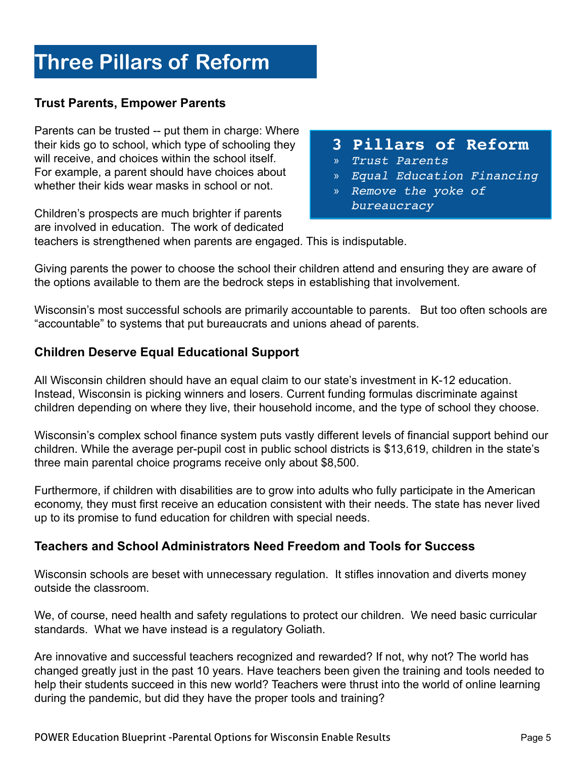### **Three Pillars of Reform**

#### **Trust Parents, Empower Parents**

Parents can be trusted -- put them in charge: Where their kids go to school, which type of schooling they will receive, and choices within the school itself. For example, a parent should have choices about whether their kids wear masks in school or not.

Children's prospects are much brighter if parents are involved in education. The work of dedicated

#### **3 Pillars of Reform**

- » *Trust Parents*
- » *Equal Education Financing*
- » *Remove the yoke of bureaucracy*

teachers is strengthened when parents are engaged. This is indisputable.

Giving parents the power to choose the school their children attend and ensuring they are aware of the options available to them are the bedrock steps in establishing that involvement.

Wisconsin's most successful schools are primarily accountable to parents. But too often schools are "accountable" to systems that put bureaucrats and unions ahead of parents.

#### **Children Deserve Equal Educational Support**

All Wisconsin children should have an equal claim to our state's investment in K-12 education. Instead, Wisconsin is picking winners and losers. Current funding formulas discriminate against children depending on where they live, their household income, and the type of school they choose.

Wisconsin's complex school finance system puts vastly different levels of financial support behind our children. While the average per-pupil cost in public school districts is \$13,619, children in the state's three main parental choice programs receive only about \$8,500.

Furthermore, if children with disabilities are to grow into adults who fully participate in the American economy, they must first receive an education consistent with their needs. The state has never lived up to its promise to fund education for children with special needs.

#### **Teachers and School Administrators Need Freedom and Tools for Success**

Wisconsin schools are beset with unnecessary regulation. It stifles innovation and diverts money outside the classroom.

We, of course, need health and safety regulations to protect our children. We need basic curricular standards. What we have instead is a regulatory Goliath.

Are innovative and successful teachers recognized and rewarded? If not, why not? The world has changed greatly just in the past 10 years. Have teachers been given the training and tools needed to help their students succeed in this new world? Teachers were thrust into the world of online learning during the pandemic, but did they have the proper tools and training?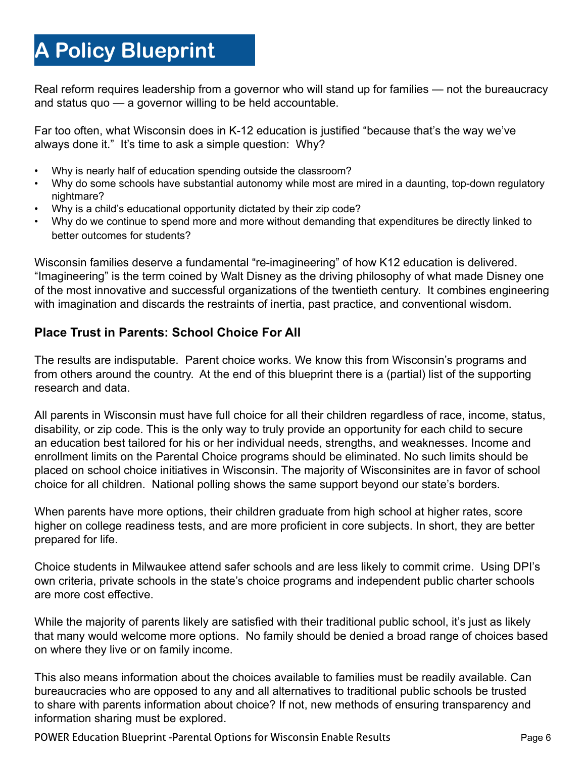### **A Policy Blueprint**

Real reform requires leadership from a governor who will stand up for families — not the bureaucracy and status quo — a governor willing to be held accountable.

Far too often, what Wisconsin does in K-12 education is justified "because that's the way we've always done it." It's time to ask a simple question: Why?

- Why is nearly half of education spending outside the classroom?
- Why do some schools have substantial autonomy while most are mired in a daunting, top-down regulatory nightmare?
- Why is a child's educational opportunity dictated by their zip code?
- Why do we continue to spend more and more without demanding that expenditures be directly linked to better outcomes for students?

Wisconsin families deserve a fundamental "re-imagineering" of how K12 education is delivered. "Imagineering" is the term coined by Walt Disney as the driving philosophy of what made Disney one of the most innovative and successful organizations of the twentieth century. It combines engineering with imagination and discards the restraints of inertia, past practice, and conventional wisdom.

#### **Place Trust in Parents: School Choice For All**

The results are indisputable. Parent choice works. We know this from Wisconsin's programs and from others around the country. At the end of this blueprint there is a (partial) list of the supporting research and data.

All parents in Wisconsin must have full choice for all their children regardless of race, income, status, disability, or zip code. This is the only way to truly provide an opportunity for each child to secure an education best tailored for his or her individual needs, strengths, and weaknesses. Income and enrollment limits on the Parental Choice programs should be eliminated. No such limits should be placed on school choice initiatives in Wisconsin. The majority of Wisconsinites are in favor of school choice for all children. National polling shows the same support beyond our state's borders.

When parents have more options, their children graduate from high school at higher rates, score higher on college readiness tests, and are more proficient in core subjects. In short, they are better prepared for life.

Choice students in Milwaukee attend safer schools and are less likely to commit crime. Using DPI's own criteria, private schools in the state's choice programs and independent public charter schools are more cost effective.

While the majority of parents likely are satisfied with their traditional public school, it's just as likely that many would welcome more options. No family should be denied a broad range of choices based on where they live or on family income.

This also means information about the choices available to families must be readily available. Can bureaucracies who are opposed to any and all alternatives to traditional public schools be trusted to share with parents information about choice? If not, new methods of ensuring transparency and information sharing must be explored.

POWER Education Blueprint -Parental Options for Wisconsin Enable Results Page 6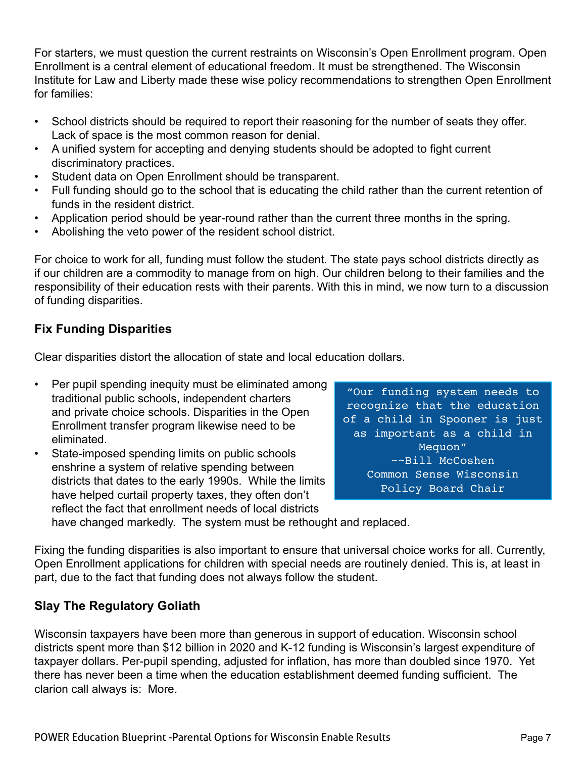For starters, we must question the current restraints on Wisconsin's Open Enrollment program. Open Enrollment is a central element of educational freedom. It must be strengthened. The Wisconsin Institute for Law and Liberty made these wise policy recommendations to strengthen Open Enrollment for families:

- School districts should be required to report their reasoning for the number of seats they offer. Lack of space is the most common reason for denial.
- A unified system for accepting and denying students should be adopted to fight current discriminatory practices.
- Student data on Open Enrollment should be transparent.
- Full funding should go to the school that is educating the child rather than the current retention of funds in the resident district.
- Application period should be year-round rather than the current three months in the spring.
- Abolishing the veto power of the resident school district.

For choice to work for all, funding must follow the student. The state pays school districts directly as if our children are a commodity to manage from on high. Our children belong to their families and the responsibility of their education rests with their parents. With this in mind, we now turn to a discussion of funding disparities.

#### **Fix Funding Disparities**

Clear disparities distort the allocation of state and local education dollars.

- Per pupil spending inequity must be eliminated among traditional public schools, independent charters and private choice schools. Disparities in the Open Enrollment transfer program likewise need to be eliminated.
- State-imposed spending limits on public schools enshrine a system of relative spending between districts that dates to the early 1990s. While the limits have helped curtail property taxes, they often don't reflect the fact that enrollment needs of local districts

"Our funding system needs to recognize that the education of a child in Spooner is just as important as a child in Mequon" ~~Bill McCoshen Common Sense Wisconsin Policy Board Chair

have changed markedly. The system must be rethought and replaced.

Fixing the funding disparities is also important to ensure that universal choice works for all. Currently, Open Enrollment applications for children with special needs are routinely denied. This is, at least in part, due to the fact that funding does not always follow the student.

#### **Slay The Regulatory Goliath**

Wisconsin taxpayers have been more than generous in support of education. Wisconsin school districts spent more than \$12 billion in 2020 and K-12 funding is Wisconsin's largest expenditure of taxpayer dollars. Per-pupil spending, adjusted for inflation, has more than doubled since 1970. Yet there has never been a time when the education establishment deemed funding sufficient. The clarion call always is: More.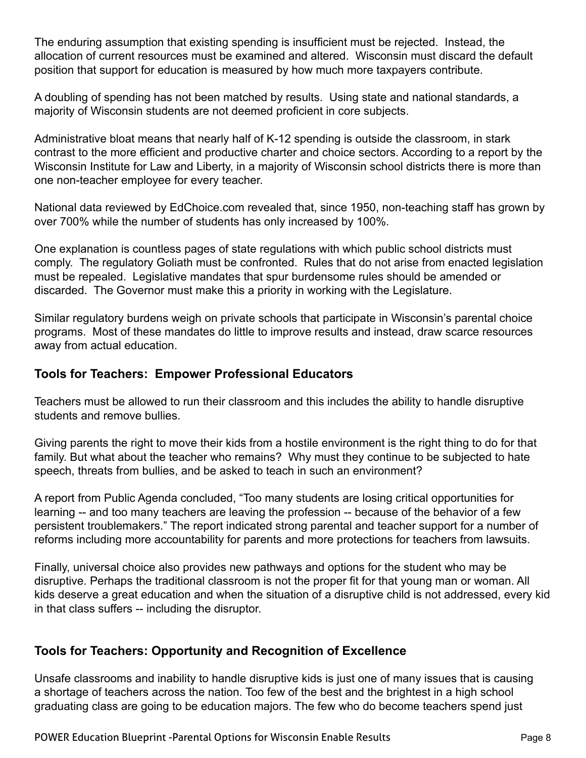The enduring assumption that existing spending is insufficient must be rejected. Instead, the allocation of current resources must be examined and altered. Wisconsin must discard the default position that support for education is measured by how much more taxpayers contribute.

A doubling of spending has not been matched by results. Using state and national standards, a majority of Wisconsin students are not deemed proficient in core subjects.

Administrative bloat means that nearly half of K-12 spending is outside the classroom, in stark contrast to the more efficient and productive charter and choice sectors. According to a report by the Wisconsin Institute for Law and Liberty, in a majority of Wisconsin school districts there is more than one non-teacher employee for every teacher.

National data reviewed by EdChoice.com revealed that, since 1950, non-teaching staff has grown by over 700% while the number of students has only increased by 100%.

One explanation is countless pages of state regulations with which public school districts must comply. The regulatory Goliath must be confronted. Rules that do not arise from enacted legislation must be repealed. Legislative mandates that spur burdensome rules should be amended or discarded. The Governor must make this a priority in working with the Legislature.

Similar regulatory burdens weigh on private schools that participate in Wisconsin's parental choice programs. Most of these mandates do little to improve results and instead, draw scarce resources away from actual education.

#### **Tools for Teachers: Empower Professional Educators**

Teachers must be allowed to run their classroom and this includes the ability to handle disruptive students and remove bullies.

Giving parents the right to move their kids from a hostile environment is the right thing to do for that family. But what about the teacher who remains? Why must they continue to be subjected to hate speech, threats from bullies, and be asked to teach in such an environment?

A report from Public Agenda concluded, "Too many students are losing critical opportunities for learning -- and too many teachers are leaving the profession -- because of the behavior of a few persistent troublemakers." The report indicated strong parental and teacher support for a number of reforms including more accountability for parents and more protections for teachers from lawsuits.

Finally, universal choice also provides new pathways and options for the student who may be disruptive. Perhaps the traditional classroom is not the proper fit for that young man or woman. All kids deserve a great education and when the situation of a disruptive child is not addressed, every kid in that class suffers -- including the disruptor.

#### **Tools for Teachers: Opportunity and Recognition of Excellence**

Unsafe classrooms and inability to handle disruptive kids is just one of many issues that is causing a shortage of teachers across the nation. Too few of the best and the brightest in a high school graduating class are going to be education majors. The few who do become teachers spend just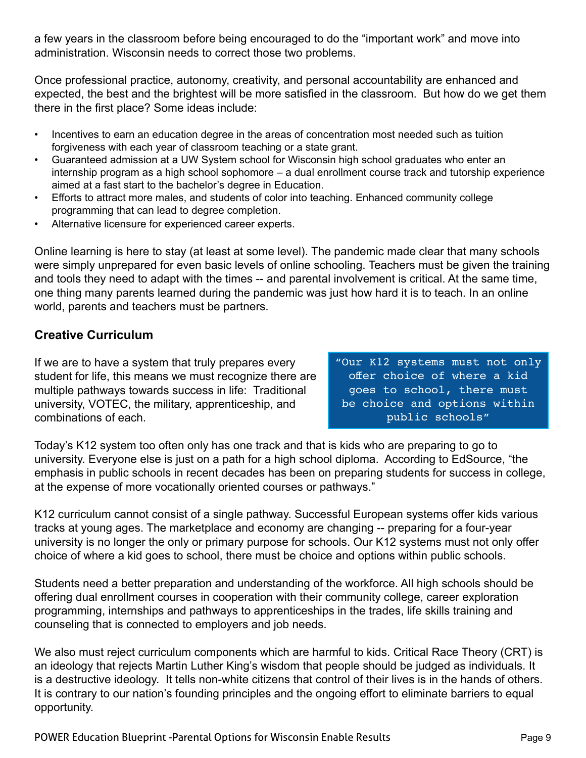a few years in the classroom before being encouraged to do the "important work" and move into administration. Wisconsin needs to correct those two problems.

Once professional practice, autonomy, creativity, and personal accountability are enhanced and expected, the best and the brightest will be more satisfied in the classroom. But how do we get them there in the first place? Some ideas include:

- Incentives to earn an education degree in the areas of concentration most needed such as tuition forgiveness with each year of classroom teaching or a state grant.
- Guaranteed admission at a UW System school for Wisconsin high school graduates who enter an internship program as a high school sophomore – a dual enrollment course track and tutorship experience aimed at a fast start to the bachelor's degree in Education.
- Efforts to attract more males, and students of color into teaching. Enhanced community college programming that can lead to degree completion.
- Alternative licensure for experienced career experts.

Online learning is here to stay (at least at some level). The pandemic made clear that many schools were simply unprepared for even basic levels of online schooling. Teachers must be given the training and tools they need to adapt with the times -- and parental involvement is critical. At the same time, one thing many parents learned during the pandemic was just how hard it is to teach. In an online world, parents and teachers must be partners.

#### **Creative Curriculum**

If we are to have a system that truly prepares every student for life, this means we must recognize there are multiple pathways towards success in life: Traditional university, VOTEC, the military, apprenticeship, and combinations of each.

"Our K12 systems must not only offer choice of where a kid goes to school, there must be choice and options within public schools"

Today's K12 system too often only has one track and that is kids who are preparing to go to university. Everyone else is just on a path for a high school diploma. According to EdSource, "the emphasis in public schools in recent decades has been on preparing students for success in college, at the expense of more vocationally oriented courses or pathways."

K12 curriculum cannot consist of a single pathway. Successful European systems offer kids various tracks at young ages. The marketplace and economy are changing -- preparing for a four-year university is no longer the only or primary purpose for schools. Our K12 systems must not only offer choice of where a kid goes to school, there must be choice and options within public schools.

Students need a better preparation and understanding of the workforce. All high schools should be offering dual enrollment courses in cooperation with their community college, career exploration programming, internships and pathways to apprenticeships in the trades, life skills training and counseling that is connected to employers and job needs.

We also must reject curriculum components which are harmful to kids. Critical Race Theory (CRT) is an ideology that rejects Martin Luther King's wisdom that people should be judged as individuals. It is a destructive ideology. It tells non-white citizens that control of their lives is in the hands of others. It is contrary to our nation's founding principles and the ongoing effort to eliminate barriers to equal opportunity.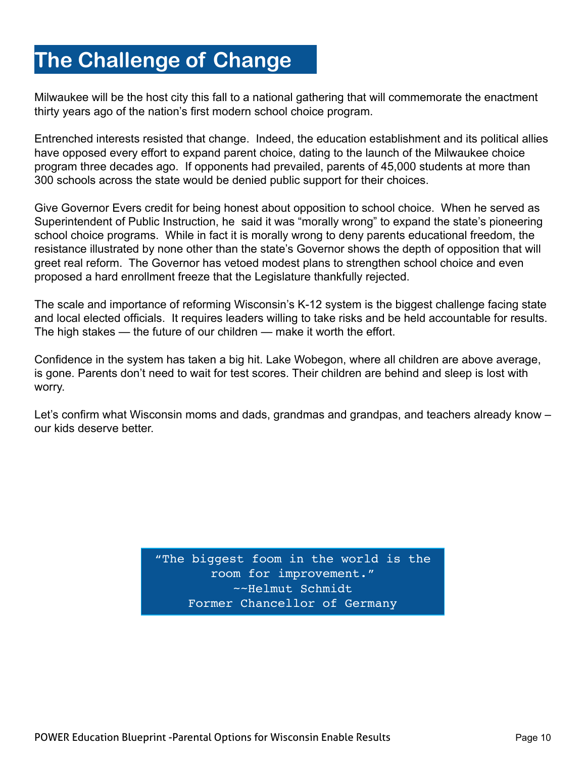### **The Challenge of Change**

Milwaukee will be the host city this fall to a national gathering that will commemorate the enactment thirty years ago of the nation's first modern school choice program.

Entrenched interests resisted that change. Indeed, the education establishment and its political allies have opposed every effort to expand parent choice, dating to the launch of the Milwaukee choice program three decades ago. If opponents had prevailed, parents of 45,000 students at more than 300 schools across the state would be denied public support for their choices.

Give Governor Evers credit for being honest about opposition to school choice. When he served as Superintendent of Public Instruction, he said it was "morally wrong" to expand the state's pioneering school choice programs. While in fact it is morally wrong to deny parents educational freedom, the resistance illustrated by none other than the state's Governor shows the depth of opposition that will greet real reform. The Governor has vetoed modest plans to strengthen school choice and even proposed a hard enrollment freeze that the Legislature thankfully rejected.

The scale and importance of reforming Wisconsin's K-12 system is the biggest challenge facing state and local elected officials. It requires leaders willing to take risks and be held accountable for results. The high stakes — the future of our children — make it worth the effort.

Confidence in the system has taken a big hit. Lake Wobegon, where all children are above average, is gone. Parents don't need to wait for test scores. Their children are behind and sleep is lost with worry.

Let's confirm what Wisconsin moms and dads, grandmas and grandpas, and teachers already know – our kids deserve better.

> "The biggest foom in the world is the room for improvement." ~~Helmut Schmidt Former Chancellor of Germany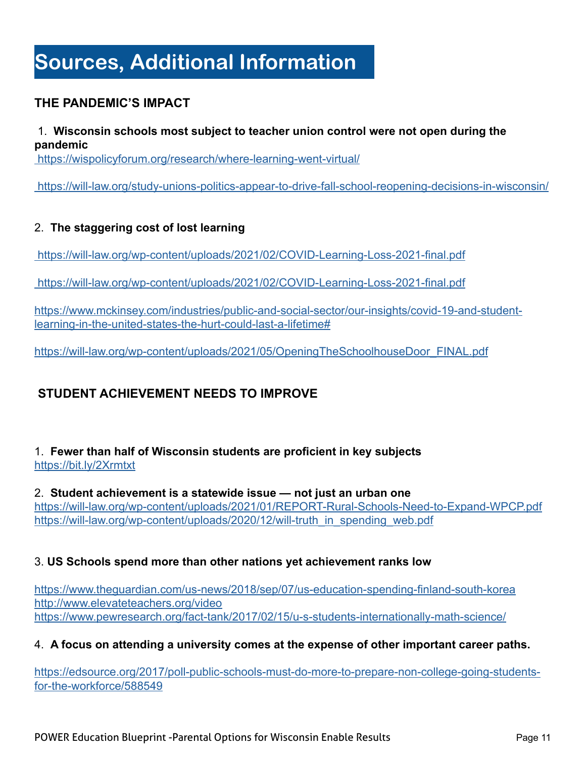### **Sources, Additional Information**

#### **THE PANDEMIC'S IMPACT**

#### 1. **Wisconsin schools most subject to teacher union control were not open during the pandemic**

https://wispolicyforum.org/research/where-learning-went-virtual/

https://will-law.org/study-unions-politics-appear-to-drive-fall-school-reopening-decisions-in-wisconsin/

#### 2. **The staggering cost of lost learning**

https://will-law.org/wp-content/uploads/2021/02/COVID-Learning-Loss-2021-final.pdf

https://will-law.org/wp-content/uploads/2021/02/COVID-Learning-Loss-2021-final.pdf

https://www.mckinsey.com/industries/public-and-social-sector/our-insights/covid-19-and-studentlearning-in-the-united-states-the-hurt-could-last-a-lifetime#

https://will-law.org/wp-content/uploads/2021/05/OpeningTheSchoolhouseDoor\_FINAL.pdf

#### **STUDENT ACHIEVEMENT NEEDS TO IMPROVE**

#### 1. **Fewer than half of Wisconsin students are proficient in key subjects** https://bit.ly/2Xrmtxt

2. **Student achievement is a statewide issue — not just an urban one** https://will-law.org/wp-content/uploads/2021/01/REPORT-Rural-Schools-Need-to-Expand-WPCP.pdf https://will-law.org/wp-content/uploads/2020/12/will-truth\_in\_spending\_web.pdf

#### 3. **US Schools spend more than other nations yet achievement ranks low**

https://www.theguardian.com/us-news/2018/sep/07/us-education-spending-finland-south-korea http://www.elevateteachers.org/video https://www.pewresearch.org/fact-tank/2017/02/15/u-s-students-internationally-math-science/

#### 4. **A focus on attending a university comes at the expense of other important career paths.**

https://edsource.org/2017/poll-public-schools-must-do-more-to-prepare-non-college-going-studentsfor-the-workforce/588549